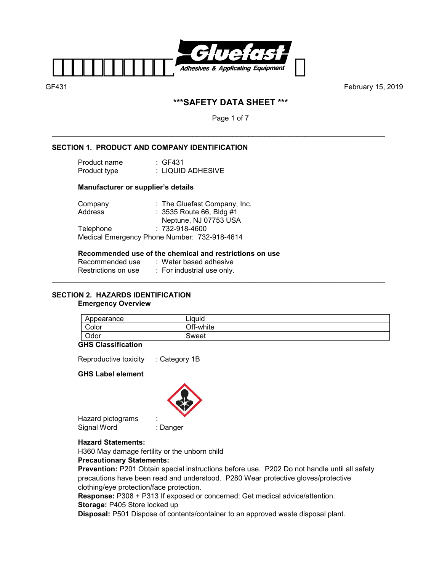

# **\*\*\*SAFETY DATA SHEET \*\*\***

Page 1 of 7

\_\_\_\_\_\_\_\_\_\_\_\_\_\_\_\_\_\_\_\_\_\_\_\_\_\_\_\_\_\_\_\_\_\_\_\_\_\_\_\_\_\_\_\_\_\_\_\_\_\_\_\_\_\_\_\_\_\_\_\_\_\_\_\_\_\_\_\_\_\_\_\_\_\_\_\_\_\_\_\_\_\_\_

#### **SECTION 1. PRODUCT AND COMPANY IDENTIFICATION**

| Product name | : GF431           |
|--------------|-------------------|
| Product type | : LIQUID ADHESIVE |

#### **Manufacturer or supplier's details**

| Company   | : The Gluefast Company, Inc.                 |
|-----------|----------------------------------------------|
| Address   | : $3535$ Route 66, Bldg #1                   |
|           | Neptune, NJ 07753 USA                        |
| Telephone | $: 732 - 918 - 4600$                         |
|           | Medical Emergency Phone Number: 732-918-4614 |

#### **Recommended use of the chemical and restrictions on use**

| Recommended use     | :Water based adhesive      |
|---------------------|----------------------------|
| Restrictions on use | : For industrial use only. |
|                     |                            |

# **SECTION 2. HAZARDS IDENTIFICATION**

#### **Emergency Overview**

| Appearance | . .<br>Liauid |
|------------|---------------|
| Color      | Off-white     |
| Odor       | Sweet         |

#### **GHS Classification**

Reproductive toxicity : Category 1B

#### **GHS Label element**



Hazard pictograms : Signal Word : Danger

## **Hazard Statements:**

H360 May damage fertility or the unborn child

## **Precautionary Statements:**

**Prevention:** P201 Obtain special instructions before use. P202 Do not handle until all safety precautions have been read and understood. P280 Wear protective gloves/protective clothing/eye protection/face protection.

**Response:** P308 + P313 If exposed or concerned: Get medical advice/attention.

#### **Storage:** P405 Store locked up

**Disposal:** P501 Dispose of contents/container to an approved waste disposal plant.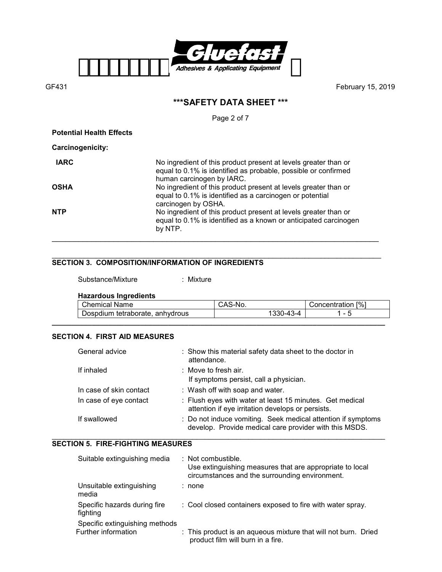

# **\*\*\*SAFETY DATA SHEET \*\*\***

Page 2 of 7

**Potential Health Effects** 

**Carcinogenicity:** 

| <b>IARC</b> | No ingredient of this product present at levels greater than or<br>equal to 0.1% is identified as probable, possible or confirmed<br>human carcinogen by IARC. |
|-------------|----------------------------------------------------------------------------------------------------------------------------------------------------------------|
| OSHA        | No ingredient of this product present at levels greater than or<br>equal to 0.1% is identified as a carcinogen or potential<br>carcinogen by OSHA.             |
| <b>NTP</b>  | No ingredient of this product present at levels greater than or<br>equal to 0.1% is identified as a known or anticipated carcinogen<br>by NTP.                 |

#### \_\_\_\_\_\_\_\_\_\_\_\_\_\_\_\_\_\_\_\_\_\_\_\_\_\_\_\_\_\_\_\_\_\_\_\_\_\_\_\_\_\_\_\_\_\_\_\_\_\_\_\_\_\_\_\_\_\_\_\_\_\_\_\_\_\_\_\_\_\_\_\_\_\_\_\_\_\_\_\_\_\_ **SECTION 3. COMPOSITION/INFORMATION OF INGREDIENTS**

| Substance/Mixture | : Mixture |
|-------------------|-----------|
|                   |           |

## **Hazardous Ingredients**

| Chemical Name            |           | ≒Nω.                     | $\lceil\% \rceil$<br>Concentration |
|--------------------------|-----------|--------------------------|------------------------------------|
| tetraborate.<br>Dospdium | anhydrous | $\overline{A}$<br>- 4-د. | $\overline{\phantom{0}}$<br>w      |
|                          |           |                          |                                    |

## **SECTION 4. FIRST AID MEASURES**

| General advice          | : Show this material safety data sheet to the doctor in<br>attendance.                                                 |
|-------------------------|------------------------------------------------------------------------------------------------------------------------|
| If inhaled              | $\therefore$ Move to fresh air.<br>If symptoms persist, call a physician.                                              |
| In case of skin contact | : Wash off with soap and water.                                                                                        |
| In case of eye contact  | : Flush eyes with water at least 15 minutes. Get medical<br>attention if eye irritation develops or persists.          |
| If swallowed            | : Do not induce vomiting. Seek medical attention if symptoms<br>develop. Provide medical care provider with this MSDS. |

#### \_\_\_\_\_\_\_\_\_\_\_\_\_\_\_\_\_\_\_\_\_\_\_\_\_\_\_\_\_\_\_\_\_\_\_\_\_\_\_\_\_\_\_\_\_\_\_\_\_\_\_\_\_\_\_\_\_\_\_\_\_\_\_\_\_\_\_\_\_\_\_\_\_\_\_\_\_\_\_\_\_\_\_ **SECTION 5. FIRE-FIGHTING MEASURES**

| Suitable extinguishing media |                                                       | : Not combustible.<br>Use extinguishing measures that are appropriate to local<br>circumstances and the surrounding environment. |  |  |
|------------------------------|-------------------------------------------------------|----------------------------------------------------------------------------------------------------------------------------------|--|--|
|                              | Unsuitable extinguishing<br>media                     | : none                                                                                                                           |  |  |
|                              | Specific hazards during fire<br>fighting              | : Cool closed containers exposed to fire with water spray.                                                                       |  |  |
|                              | Specific extinguishing methods<br>Further information | : This product is an aqueous mixture that will not burn. Dried<br>product film will burn in a fire.                              |  |  |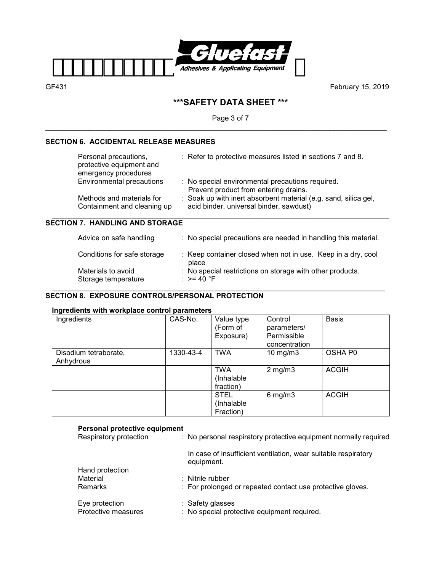

# **\*\*\*SAFETY DATA SHEET \*\*\***

Page 3 of 7

\_\_\_\_\_\_\_\_\_\_\_\_\_\_\_\_\_\_\_\_\_\_\_\_\_\_\_\_\_\_\_\_\_\_\_\_\_\_\_\_\_\_\_\_\_\_\_\_\_\_\_\_\_\_\_\_\_\_\_\_\_\_\_\_\_\_\_\_\_\_\_\_\_\_\_\_\_\_\_\_\_\_\_\_\_

## **SECTION 6. ACCIDENTAL RELEASE MEASURES**

| Personal precautions,<br>protective equipment and<br>emergency procedures | : Refer to protective measures listed in sections 7 and 8.                                                 |
|---------------------------------------------------------------------------|------------------------------------------------------------------------------------------------------------|
| <b>Environmental precautions</b>                                          | : No special environmental precautions required.<br>Prevent product from entering drains.                  |
| Methods and materials for<br>Containment and cleaning up                  | : Soak up with inert absorbent material (e.g. sand, silica gel,<br>acid binder, universal binder, sawdust) |

## **SECTION 7. HANDLING AND STORAGE**

| Advice on safe handling                   | : No special precautions are needed in handling this material.             |
|-------------------------------------------|----------------------------------------------------------------------------|
| Conditions for safe storage               | : Keep container closed when not in use. Keep in a dry, cool<br>place      |
| Materials to avoid<br>Storage temperature | : No special restrictions on storage with other products.<br>: $> = 40$ °F |

#### \_\_\_\_\_\_\_\_\_\_\_\_\_\_\_\_\_\_\_\_\_\_\_\_\_\_\_\_\_\_\_\_\_\_\_\_\_\_\_\_\_\_\_\_\_\_\_\_\_\_\_\_\_\_\_\_\_\_\_\_\_\_\_\_\_\_\_\_\_\_\_\_\_\_\_\_\_\_\_\_\_\_\_ **SECTION 8. EXPOSURE CONTROLS/PERSONAL PROTECTION**

## **Ingredients with workplace control parameters**

| Ingredients                        | CAS-No.   | Value type<br>(Form of<br>Exposure)    | Control<br>parameters/<br>Permissible<br>concentration | <b>Basis</b> |
|------------------------------------|-----------|----------------------------------------|--------------------------------------------------------|--------------|
| Disodium tetraborate,<br>Anhydrous | 1330-43-4 | <b>TWA</b>                             | 10 $mg/m3$                                             | OSHA P0      |
|                                    |           | <b>TWA</b><br>(Inhalable<br>fraction)  | $2$ mg/m $3$                                           | <b>ACGIH</b> |
|                                    |           | <b>STEL</b><br>(Inhalable<br>Fraction) | $6$ mg/m $3$                                           | <b>ACGIH</b> |

## **Personal protective equipment**

| . 0.00a. protootivo oguipinont<br>Respiratory protection | : No personal respiratory protective equipment normally required             |
|----------------------------------------------------------|------------------------------------------------------------------------------|
|                                                          | In case of insufficient ventilation, wear suitable respiratory<br>equipment. |
| Hand protection                                          |                                                                              |
| Material                                                 | $:$ Nitrile rubber                                                           |
| <b>Remarks</b>                                           | : For prolonged or repeated contact use protective gloves.                   |
| Eye protection                                           | : Safety glasses                                                             |
| Protective measures                                      | : No special protective equipment required.                                  |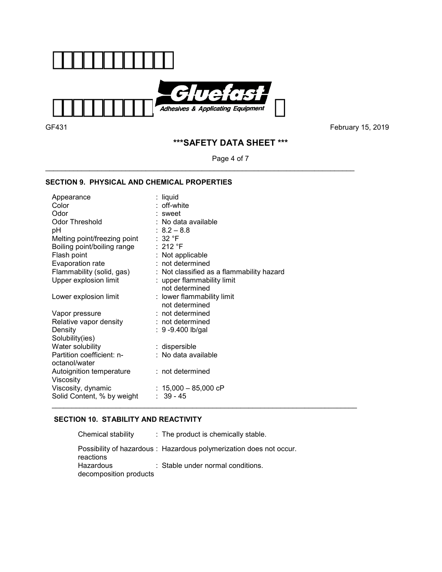

\_\_\_\_\_\_\_\_\_\_\_\_\_\_\_\_\_\_\_\_\_\_\_\_\_\_\_\_\_\_\_\_\_\_\_\_\_\_\_\_\_\_\_\_\_\_\_\_\_\_\_\_\_\_\_\_\_\_\_\_\_\_\_\_\_\_\_\_\_\_\_\_\_\_\_\_\_

GF431February 15, 2019

# **\*\*\*SAFETY DATA SHEET \*\*\***

Page 4 of 7

## **SECTION 9. PHYSICAL AND CHEMICAL PROPERTIES**

| Appearance                   | : liquid                                  |
|------------------------------|-------------------------------------------|
| Color                        | : off-white                               |
| Odor                         | : sweet                                   |
| <b>Odor Threshold</b>        | : No data available                       |
| рH                           | $: 8.2 - 8.8$                             |
| Melting point/freezing point | :32 °F                                    |
| Boiling point/boiling range  | :212 °F                                   |
| Flash point                  | : Not applicable                          |
| Evaporation rate             | $:$ not determined                        |
| Flammability (solid, gas)    | : Not classified as a flammability hazard |
| Upper explosion limit        | : upper flammability limit                |
|                              | not determined                            |
| Lower explosion limit        | : lower flammability limit                |
|                              | not determined                            |
| Vapor pressure               | $:$ not determined                        |
| Relative vapor density       | : not determined                          |
| Density                      | : 9 -9.400 lb/gal                         |
| Solubility(ies)              |                                           |
| Water solubility             | : dispersible                             |
| Partition coefficient: n-    | : No data available                       |
| octanol/water                |                                           |
| Autoignition temperature     | : not determined                          |
| Viscosity                    |                                           |
| Viscosity, dynamic           | : $15,000 - 85,000$ cP                    |
| Solid Content, % by weight   | $: 39 - 45$                               |

## **SECTION 10. STABILITY AND REACTIVITY**

| Chemical stability                  | : The product is chemically stable.                                |
|-------------------------------------|--------------------------------------------------------------------|
| reactions                           | Possibility of hazardous: Hazardous polymerization does not occur. |
| Hazardous<br>decomposition products | : Stable under normal conditions.                                  |

\_\_\_\_\_\_\_\_\_\_\_\_\_\_\_\_\_\_\_\_\_\_\_\_\_\_\_\_\_\_\_\_\_\_\_\_\_\_\_\_\_\_\_\_\_\_\_\_\_\_\_\_\_\_\_\_\_\_\_\_\_\_\_\_\_\_\_\_\_\_\_\_\_\_\_\_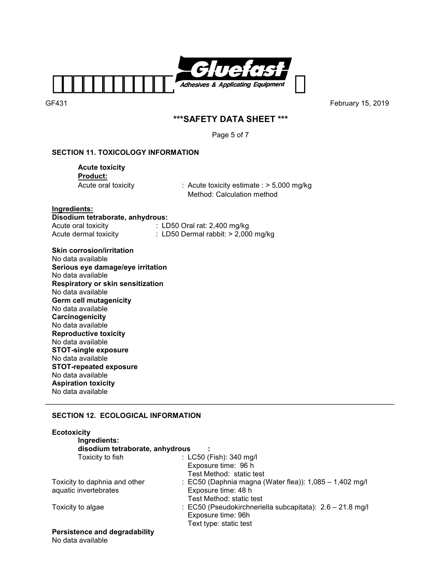

# **\*\*\*SAFETY DATA SHEET \*\*\***

Page 5 of 7

## **SECTION 11. TOXICOLOGY INFORMATION**

 **Acute toxicity Product:** 

Acute oral toxicity : Acute toxicity estimate : > 5,000 mg/kg Method: Calculation method

**Ingredients:** 

**Disodium tetraborate, anhydrous:**  Acute oral toxicity : LD50 Oral rat: 2,400 mg/kg<br>Acute dermal toxicity : LD50 Dermal rabbit: > 2,000

 $\therefore$  LD50 Dermal rabbit: > 2,000 mg/kg

**Skin corrosion/irritation**  No data available **Serious eye damage/eye irritation**  No data available **Respiratory or skin sensitization**  No data available **Germ cell mutagenicity**  No data available **Carcinogenicity**  No data available **Reproductive toxicity**  No data available **STOT-single exposure**  No data available **STOT-repeated exposure**  No data available **Aspiration toxicity**  No data available \_\_\_\_\_\_\_\_\_\_\_\_\_\_\_\_\_\_\_\_\_\_\_\_\_\_\_\_\_\_\_\_\_\_\_\_\_\_\_\_\_\_\_\_\_\_\_\_\_\_\_\_\_\_\_\_\_\_\_\_\_\_\_\_\_\_\_\_\_\_\_\_\_\_\_\_\_\_\_

## **SECTION 12. ECOLOGICAL INFORMATION**

| <b>Ecotoxicity</b>                   |                                                             |
|--------------------------------------|-------------------------------------------------------------|
| Ingredients:                         |                                                             |
| disodium tetraborate, anhydrous      |                                                             |
| Toxicity to fish                     | : LC50 (Fish): 340 mg/l                                     |
|                                      | Exposure time: 96 h                                         |
|                                      | Test Method: static test                                    |
| Toxicity to daphnia and other        | : EC50 (Daphnia magna (Water flea)): $1,085 - 1,402$ mg/l   |
| aquatic invertebrates                | Exposure time: 48 h                                         |
|                                      | Test Method: static test                                    |
| Toxicity to algae                    | : EC50 (Pseudokirchneriella subcapitata): $2.6 - 21.8$ mg/l |
|                                      | Exposure time: 96h                                          |
|                                      | Text type: static test                                      |
| <b>Persistence and degradability</b> |                                                             |

No data available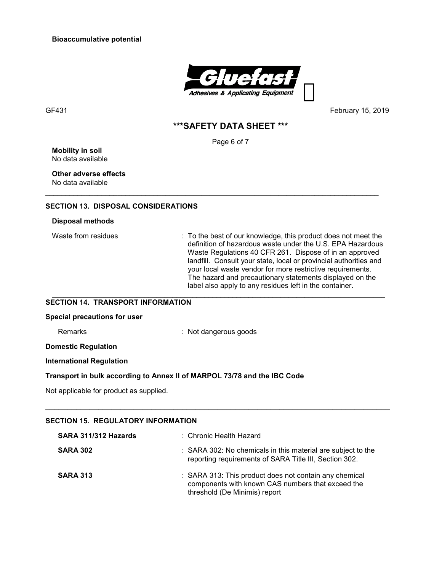**Bioaccumulative potential** 



GF431February 15, 2019

## **\*\*\*SAFETY DATA SHEET \*\*\***

Page 6 of 7

\_\_\_\_\_\_\_\_\_\_\_\_\_\_\_\_\_\_\_\_\_\_\_\_\_\_\_\_\_\_\_\_\_\_\_\_\_\_\_\_\_\_\_\_\_\_\_\_\_\_\_\_\_\_\_\_\_\_\_\_\_\_\_\_\_\_\_\_\_\_\_\_\_\_\_\_\_\_\_\_\_\_\_

**Mobility in soil** No data available

**Other adverse effects**  No data available

#### **SECTION 13. DISPOSAL CONSIDERATIONS**

#### **Disposal methods**

Waste from residues : To the best of our knowledge, this product does not meet the definition of hazardous waste under the U.S. EPA Hazardous Waste Regulations 40 CFR 261. Dispose of in an approved landfill. Consult your state, local or provincial authorities and your local waste vendor for more restrictive requirements. The hazard and precautionary statements displayed on the label also apply to any residues left in the container. \_\_\_\_\_\_\_\_\_\_\_\_\_\_\_\_\_\_\_\_\_\_\_\_\_\_\_\_\_\_\_\_\_\_\_\_\_\_\_\_\_\_\_\_\_\_\_\_\_\_\_\_\_\_\_\_\_\_\_\_\_\_\_\_\_\_\_\_\_\_\_\_\_\_\_\_\_\_\_\_\_\_\_

### **SECTION 14. TRANSPORT INFORMATION**

#### **Special precautions for user**

Remarks : Not dangerous goods

**Domestic Regulation** 

**International Regulation** 

#### **Transport in bulk according to Annex II of MARPOL 73/78 and the IBC Code**

Not applicable for product as supplied.

# **SECTION 15. REGULATORY INFORMATION**

| SARA 311/312 Hazards | : Chronic Health Hazard                                                                                                                      |
|----------------------|----------------------------------------------------------------------------------------------------------------------------------------------|
| <b>SARA 302</b>      | : SARA 302: No chemicals in this material are subject to the<br>reporting requirements of SARA Title III, Section 302.                       |
| <b>SARA 313</b>      | : SARA 313: This product does not contain any chemical<br>components with known CAS numbers that exceed the<br>threshold (De Minimis) report |

\_\_\_\_\_\_\_\_\_\_\_\_\_\_\_\_\_\_\_\_\_\_\_\_\_\_\_\_\_\_\_\_\_\_\_\_\_\_\_\_\_\_\_\_\_\_\_\_\_\_\_\_\_\_\_\_\_\_\_\_\_\_\_\_\_\_\_\_\_\_\_\_\_\_\_\_\_\_